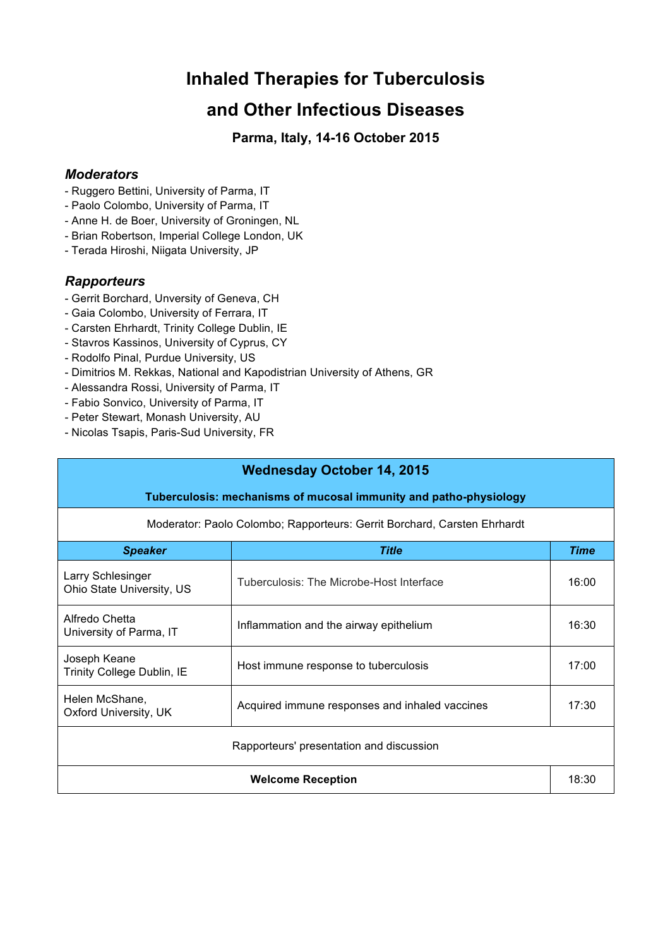# **Inhaled Therapies for Tuberculosis**

## **and Other Infectious Diseases**

**Parma, Italy, 14-16 October 2015**

#### *Moderators*

- Ruggero Bettini, University of Parma, IT
- Paolo Colombo, University of Parma, IT
- Anne H. de Boer, University of Groningen, NL
- Brian Robertson, Imperial College London, UK
- Terada Hiroshi, Niigata University, JP

### *Rapporteurs*

- Gerrit Borchard, Unversity of Geneva, CH
- Gaia Colombo, University of Ferrara, IT
- Carsten Ehrhardt, Trinity College Dublin, IE
- Stavros Kassinos, University of Cyprus, CY
- Rodolfo Pinal, Purdue University, US
- Dimitrios M. Rekkas, National and Kapodistrian University of Athens, GR
- Alessandra Rossi, University of Parma, IT
- Fabio Sonvico, University of Parma, IT
- Peter Stewart, Monash University, AU
- Nicolas Tsapis, Paris-Sud University, FR

| <b>Wednesday October 14, 2015</b>                                        |                                                |       |  |  |
|--------------------------------------------------------------------------|------------------------------------------------|-------|--|--|
| Tuberculosis: mechanisms of mucosal immunity and patho-physiology        |                                                |       |  |  |
| Moderator: Paolo Colombo; Rapporteurs: Gerrit Borchard, Carsten Ehrhardt |                                                |       |  |  |
| <b>Speaker</b>                                                           | <b>Title</b>                                   | Time  |  |  |
| Larry Schlesinger<br>Ohio State University, US                           | Tuberculosis: The Microbe-Host Interface       | 16:00 |  |  |
| Alfredo Chetta<br>University of Parma, IT                                | Inflammation and the airway epithelium         | 16:30 |  |  |
| Joseph Keane<br>Trinity College Dublin, IE                               | Host immune response to tuberculosis           | 17:00 |  |  |
| Helen McShane,<br>Oxford University, UK                                  | Acquired immune responses and inhaled vaccines | 17:30 |  |  |
| Rapporteurs' presentation and discussion                                 |                                                |       |  |  |
| <b>Welcome Reception</b>                                                 |                                                | 18:30 |  |  |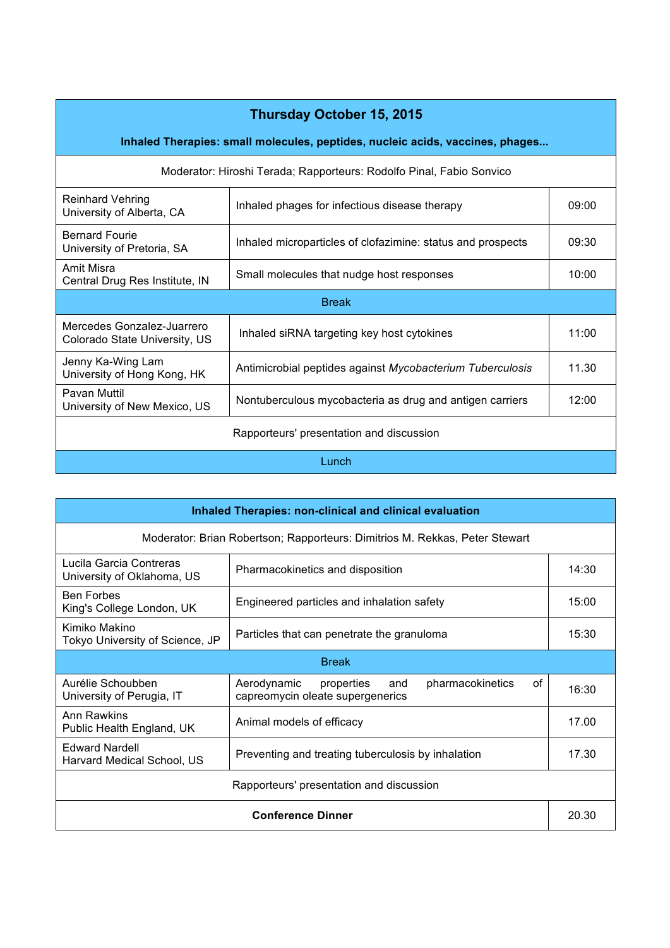## **Thursday October 15, 2015**

**Inhaled Therapies: small molecules, peptides, nucleic acids, vaccines, phages...**

| Moderator: Hiroshi Terada; Rapporteurs: Rodolfo Pinal, Fabio Sonvico |                                                             |       |  |
|----------------------------------------------------------------------|-------------------------------------------------------------|-------|--|
| <b>Reinhard Vehring</b><br>University of Alberta, CA                 | Inhaled phages for infectious disease therapy               | 09:00 |  |
| <b>Bernard Fourie</b><br>University of Pretoria, SA                  | Inhaled microparticles of clofazimine: status and prospects | 09:30 |  |
| Amit Misra<br>Central Drug Res Institute, IN                         | Small molecules that nudge host responses                   | 10:00 |  |
| <b>Break</b>                                                         |                                                             |       |  |
| Mercedes Gonzalez-Juarrero<br>Colorado State University, US          | Inhaled siRNA targeting key host cytokines                  | 11:00 |  |
| Jenny Ka-Wing Lam<br>University of Hong Kong, HK                     | Antimicrobial peptides against Mycobacterium Tuberculosis   | 11.30 |  |
| Pavan Muttil<br>University of New Mexico, US                         | Nontuberculous mycobacteria as drug and antigen carriers    | 12:00 |  |
| Rapporteurs' presentation and discussion                             |                                                             |       |  |
| Lunch                                                                |                                                             |       |  |

| <b>Inhaled Therapies: non-clinical and clinical evaluation</b>              |                                                                                                |       |  |
|-----------------------------------------------------------------------------|------------------------------------------------------------------------------------------------|-------|--|
| Moderator: Brian Robertson; Rapporteurs: Dimitrios M. Rekkas, Peter Stewart |                                                                                                |       |  |
| Lucila Garcia Contreras<br>University of Oklahoma, US                       | Pharmacokinetics and disposition                                                               | 14:30 |  |
| <b>Ben Forbes</b><br>King's College London, UK                              | Engineered particles and inhalation safety                                                     | 15:00 |  |
| Kimiko Makino<br>Tokyo University of Science, JP                            | Particles that can penetrate the granuloma                                                     | 15:30 |  |
| <b>Break</b>                                                                |                                                                                                |       |  |
| Aurélie Schoubben<br>University of Perugia, IT                              | Aerodynamic<br>pharmacokinetics<br>properties<br>and<br>οf<br>capreomycin oleate supergenerics | 16:30 |  |
| Ann Rawkins<br>Public Health England, UK                                    | Animal models of efficacy                                                                      | 17.00 |  |
| <b>Edward Nardell</b><br>Harvard Medical School, US                         | Preventing and treating tuberculosis by inhalation                                             | 17.30 |  |
| Rapporteurs' presentation and discussion                                    |                                                                                                |       |  |
| <b>Conference Dinner</b>                                                    |                                                                                                | 20.30 |  |